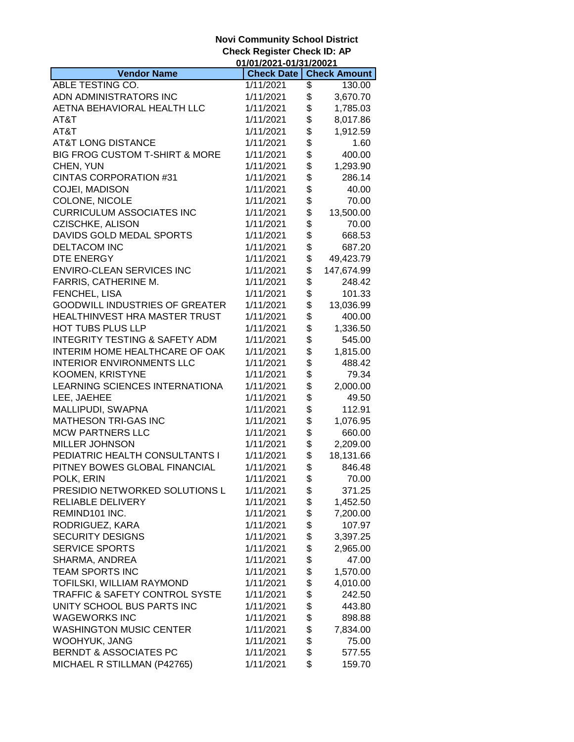|                                           | 01/01/2021-01/31/20021 |          |                     |
|-------------------------------------------|------------------------|----------|---------------------|
| <b>Vendor Name</b>                        | <b>Check Date</b>      |          | <b>Check Amount</b> |
| ABLE TESTING CO.                          | 1/11/2021              | \$       | 130.00              |
| ADN ADMINISTRATORS INC                    | 1/11/2021              | \$       | 3,670.70            |
| AETNA BEHAVIORAL HEALTH LLC               | 1/11/2021              | \$       | 1,785.03            |
| AT&T                                      | 1/11/2021              | \$       | 8,017.86            |
| AT&T                                      | 1/11/2021              | \$       | 1,912.59            |
| <b>AT&amp;T LONG DISTANCE</b>             | 1/11/2021              | \$       | 1.60                |
| BIG FROG CUSTOM T-SHIRT & MORE            | 1/11/2021              | \$       | 400.00              |
| CHEN, YUN                                 | 1/11/2021              | \$       | 1,293.90            |
| <b>CINTAS CORPORATION #31</b>             | 1/11/2021              | \$       | 286.14              |
| <b>COJEI, MADISON</b>                     | 1/11/2021              | \$       | 40.00               |
| COLONE, NICOLE                            | 1/11/2021              | \$       | 70.00               |
| <b>CURRICULUM ASSOCIATES INC</b>          | 1/11/2021              | \$       | 13,500.00           |
| <b>CZISCHKE, ALISON</b>                   | 1/11/2021              | \$       | 70.00               |
| DAVIDS GOLD MEDAL SPORTS                  | 1/11/2021              | \$       | 668.53              |
| <b>DELTACOM INC</b>                       | 1/11/2021              | \$       | 687.20              |
| DTE ENERGY                                | 1/11/2021              | \$       | 49,423.79           |
| <b>ENVIRO-CLEAN SERVICES INC</b>          | 1/11/2021              | \$       | 147,674.99          |
|                                           |                        | \$       |                     |
| FARRIS, CATHERINE M.                      | 1/11/2021              |          | 248.42              |
| FENCHEL, LISA                             | 1/11/2021              | \$       | 101.33              |
| <b>GOODWILL INDUSTRIES OF GREATER</b>     | 1/11/2021              | \$       | 13,036.99           |
| HEALTHINVEST HRA MASTER TRUST             | 1/11/2021              | \$       | 400.00              |
| HOT TUBS PLUS LLP                         | 1/11/2021              | \$       | 1,336.50            |
| <b>INTEGRITY TESTING &amp; SAFETY ADM</b> | 1/11/2021              | \$       | 545.00              |
| INTERIM HOME HEALTHCARE OF OAK            | 1/11/2021              | \$       | 1,815.00            |
| <b>INTERIOR ENVIRONMENTS LLC</b>          | 1/11/2021              | \$       | 488.42              |
| KOOMEN, KRISTYNE                          | 1/11/2021              | \$       | 79.34               |
| LEARNING SCIENCES INTERNATIONA            | 1/11/2021              | \$       | 2,000.00            |
| LEE, JAEHEE                               | 1/11/2021              | \$       | 49.50               |
| MALLIPUDI, SWAPNA                         | 1/11/2021              | \$       | 112.91              |
| <b>MATHESON TRI-GAS INC</b>               | 1/11/2021              | \$       | 1,076.95            |
| <b>MCW PARTNERS LLC</b>                   | 1/11/2021              | \$       | 660.00              |
| <b>MILLER JOHNSON</b>                     | 1/11/2021              | \$       | 2,209.00            |
| PEDIATRIC HEALTH CONSULTANTS I            | 1/11/2021              | \$       | 18,131.66           |
| PITNEY BOWES GLOBAL FINANCIAL             | 1/11/2021              | \$       | 846.48              |
| POLK, ERIN                                | 1/11/2021              | \$       | 70.00               |
| PRESIDIO NETWORKED SOLUTIONS L            | 1/11/2021              | \$       | 371.25              |
| RELIABLE DELIVERY                         | 1/11/2021              | \$       | 1,452.50            |
| REMIND101 INC.                            | 1/11/2021              | \$       | 7,200.00            |
| RODRIGUEZ, KARA                           | 1/11/2021              | \$       | 107.97              |
| <b>SECURITY DESIGNS</b>                   | 1/11/2021              | \$       | 3,397.25            |
| <b>SERVICE SPORTS</b>                     | 1/11/2021              | \$       | 2,965.00            |
| SHARMA, ANDREA                            | 1/11/2021              | \$       | 47.00               |
| TEAM SPORTS INC                           | 1/11/2021              | \$       | 1,570.00            |
| TOFILSKI, WILLIAM RAYMOND                 | 1/11/2021              | \$       | 4,010.00            |
| TRAFFIC & SAFETY CONTROL SYSTE            | 1/11/2021              | \$       | 242.50              |
| UNITY SCHOOL BUS PARTS INC                | 1/11/2021              |          | 443.80              |
| <b>WAGEWORKS INC</b>                      | 1/11/2021              | \$<br>\$ | 898.88              |
| <b>WASHINGTON MUSIC CENTER</b>            | 1/11/2021              | \$       | 7,834.00            |
| <b>WOOHYUK, JANG</b>                      | 1/11/2021              | \$       | 75.00               |
| <b>BERNDT &amp; ASSOCIATES PC</b>         | 1/11/2021              | \$       | 577.55              |
| MICHAEL R STILLMAN (P42765)               | 1/11/2021              | \$       | 159.70              |
|                                           |                        |          |                     |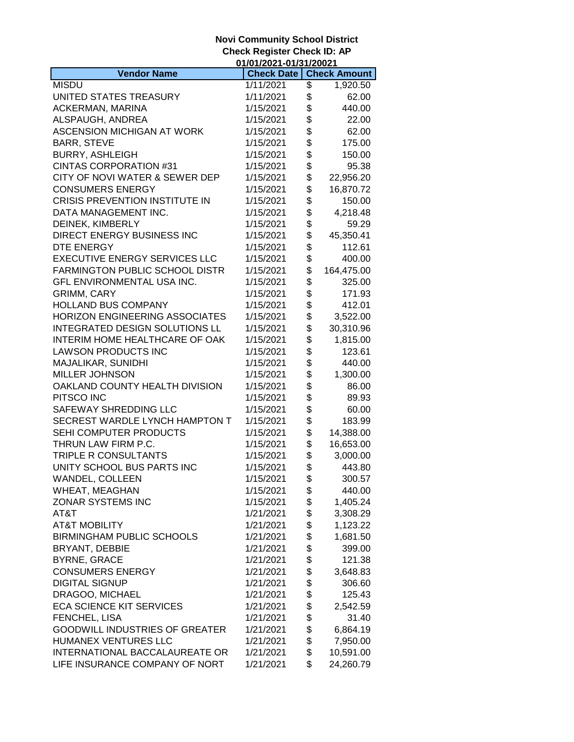|                                       | 01/01/2021-01/31/20021 |    |                     |
|---------------------------------------|------------------------|----|---------------------|
| <b>Vendor Name</b>                    | <b>Check Date</b>      |    | <b>Check Amount</b> |
| <b>MISDU</b>                          | 1/11/2021              | \$ | 1,920.50            |
| UNITED STATES TREASURY                | 1/11/2021              | \$ | 62.00               |
| ACKERMAN, MARINA                      | 1/15/2021              | \$ | 440.00              |
| ALSPAUGH, ANDREA                      | 1/15/2021              | \$ | 22.00               |
| ASCENSION MICHIGAN AT WORK            | 1/15/2021              | \$ | 62.00               |
| <b>BARR, STEVE</b>                    | 1/15/2021              | \$ | 175.00              |
| <b>BURRY, ASHLEIGH</b>                | 1/15/2021              | \$ | 150.00              |
| <b>CINTAS CORPORATION #31</b>         | 1/15/2021              | \$ | 95.38               |
| CITY OF NOVI WATER & SEWER DEP        | 1/15/2021              | \$ | 22,956.20           |
| <b>CONSUMERS ENERGY</b>               | 1/15/2021              | \$ | 16,870.72           |
| CRISIS PREVENTION INSTITUTE IN        | 1/15/2021              | \$ | 150.00              |
| DATA MANAGEMENT INC.                  | 1/15/2021              | \$ | 4,218.48            |
| DEINEK, KIMBERLY                      | 1/15/2021              | \$ | 59.29               |
|                                       |                        | \$ |                     |
| DIRECT ENERGY BUSINESS INC            | 1/15/2021              |    | 45,350.41           |
| <b>DTE ENERGY</b>                     | 1/15/2021              | \$ | 112.61              |
| <b>EXECUTIVE ENERGY SERVICES LLC</b>  | 1/15/2021              | \$ | 400.00              |
| <b>FARMINGTON PUBLIC SCHOOL DISTR</b> | 1/15/2021              | \$ | 164,475.00          |
| GFL ENVIRONMENTAL USA INC.            | 1/15/2021              | \$ | 325.00              |
| <b>GRIMM, CARY</b>                    | 1/15/2021              | \$ | 171.93              |
| <b>HOLLAND BUS COMPANY</b>            | 1/15/2021              | \$ | 412.01              |
| <b>HORIZON ENGINEERING ASSOCIATES</b> | 1/15/2021              | \$ | 3,522.00            |
| INTEGRATED DESIGN SOLUTIONS LL        | 1/15/2021              | \$ | 30,310.96           |
| INTERIM HOME HEALTHCARE OF OAK        | 1/15/2021              | \$ | 1,815.00            |
| <b>LAWSON PRODUCTS INC</b>            | 1/15/2021              | \$ | 123.61              |
| MAJALIKAR, SUNIDHI                    | 1/15/2021              | \$ | 440.00              |
| <b>MILLER JOHNSON</b>                 | 1/15/2021              | \$ | 1,300.00            |
| OAKLAND COUNTY HEALTH DIVISION        | 1/15/2021              | \$ | 86.00               |
| PITSCO INC                            | 1/15/2021              | \$ | 89.93               |
| SAFEWAY SHREDDING LLC                 | 1/15/2021              | \$ | 60.00               |
| SECREST WARDLE LYNCH HAMPTON T        | 1/15/2021              | \$ | 183.99              |
| SEHI COMPUTER PRODUCTS                | 1/15/2021              | \$ | 14,388.00           |
| THRUN LAW FIRM P.C.                   | 1/15/2021              | \$ | 16,653.00           |
| TRIPLE R CONSULTANTS                  | 1/15/2021              | \$ | 3,000.00            |
| UNITY SCHOOL BUS PARTS INC            | 1/15/2021              | \$ | 443.80              |
| WANDEL, COLLEEN                       | 1/15/2021              | \$ | 300.57              |
| WHEAT, MEAGHAN                        | 1/15/2021              | \$ | 440.00              |
| ZONAR SYSTEMS INC                     | 1/15/2021              | \$ | 1,405.24            |
| AT&T                                  | 1/21/2021              | \$ | 3,308.29            |
| <b>AT&amp;T MOBILITY</b>              | 1/21/2021              | \$ | 1,123.22            |
| <b>BIRMINGHAM PUBLIC SCHOOLS</b>      | 1/21/2021              | \$ | 1,681.50            |
| BRYANT, DEBBIE                        | 1/21/2021              | \$ | 399.00              |
| <b>BYRNE, GRACE</b>                   | 1/21/2021              | \$ | 121.38              |
| <b>CONSUMERS ENERGY</b>               |                        | \$ |                     |
|                                       | 1/21/2021              |    | 3,648.83            |
| <b>DIGITAL SIGNUP</b>                 | 1/21/2021              | \$ | 306.60              |
| DRAGOO, MICHAEL                       | 1/21/2021              | \$ | 125.43              |
| <b>ECA SCIENCE KIT SERVICES</b>       | 1/21/2021              | \$ | 2,542.59            |
| FENCHEL, LISA                         | 1/21/2021              | \$ | 31.40               |
| <b>GOODWILL INDUSTRIES OF GREATER</b> | 1/21/2021              | \$ | 6,864.19            |
| HUMANEX VENTURES LLC                  | 1/21/2021              | \$ | 7,950.00            |
| INTERNATIONAL BACCALAUREATE OR        | 1/21/2021              | \$ | 10,591.00           |
| LIFE INSURANCE COMPANY OF NORT        | 1/21/2021              | \$ | 24,260.79           |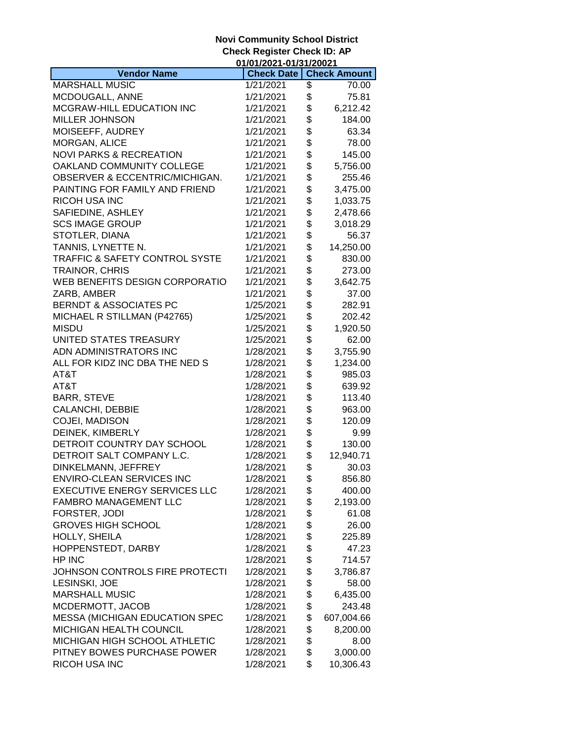|                                                                  | 01/01/2021-01/31/20021 |          |                     |
|------------------------------------------------------------------|------------------------|----------|---------------------|
| <b>Vendor Name</b>                                               | <b>Check Date</b>      |          | <b>Check Amount</b> |
| <b>MARSHALL MUSIC</b>                                            | 1/21/2021              | \$       | 70.00               |
| MCDOUGALL, ANNE                                                  | 1/21/2021              | \$       | 75.81               |
| MCGRAW-HILL EDUCATION INC                                        | 1/21/2021              | \$       | 6,212.42            |
| <b>MILLER JOHNSON</b>                                            | 1/21/2021              | \$       | 184.00              |
| MOISEEFF, AUDREY                                                 | 1/21/2021              | \$       | 63.34               |
| MORGAN, ALICE                                                    | 1/21/2021              | \$       | 78.00               |
| <b>NOVI PARKS &amp; RECREATION</b>                               | 1/21/2021              | \$       | 145.00              |
| OAKLAND COMMUNITY COLLEGE                                        | 1/21/2021              | \$       | 5,756.00            |
| OBSERVER & ECCENTRIC/MICHIGAN.                                   | 1/21/2021              | \$       | 255.46              |
| PAINTING FOR FAMILY AND FRIEND                                   | 1/21/2021              | \$       | 3,475.00            |
| <b>RICOH USA INC</b>                                             | 1/21/2021              | \$       | 1,033.75            |
| SAFIEDINE, ASHLEY                                                | 1/21/2021              | \$       | 2,478.66            |
| <b>SCS IMAGE GROUP</b>                                           | 1/21/2021              | \$       | 3,018.29            |
| STOTLER, DIANA                                                   | 1/21/2021              | \$       | 56.37               |
| TANNIS, LYNETTE N.                                               | 1/21/2021              | \$       | 14,250.00           |
| <b>TRAFFIC &amp; SAFETY CONTROL SYSTE</b>                        | 1/21/2021              | \$       | 830.00              |
| TRAINOR, CHRIS                                                   | 1/21/2021              | \$       | 273.00              |
| WEB BENEFITS DESIGN CORPORATIO                                   | 1/21/2021              | \$       | 3,642.75            |
| ZARB, AMBER                                                      | 1/21/2021              | \$       | 37.00               |
| <b>BERNDT &amp; ASSOCIATES PC</b>                                | 1/25/2021              | \$       | 282.91              |
| MICHAEL R STILLMAN (P42765)                                      | 1/25/2021              | \$       | 202.42              |
| <b>MISDU</b>                                                     | 1/25/2021              | \$       | 1,920.50            |
| UNITED STATES TREASURY                                           | 1/25/2021              | \$       | 62.00               |
| ADN ADMINISTRATORS INC                                           | 1/28/2021              | \$       | 3,755.90            |
| ALL FOR KIDZ INC DBA THE NED S                                   | 1/28/2021              | \$       | 1,234.00            |
| AT&T                                                             | 1/28/2021              | \$       | 985.03              |
| AT&T                                                             | 1/28/2021              | \$       | 639.92              |
| <b>BARR, STEVE</b>                                               | 1/28/2021              | \$       | 113.40              |
| <b>CALANCHI, DEBBIE</b>                                          | 1/28/2021              | \$       | 963.00              |
| COJEI, MADISON                                                   | 1/28/2021              | \$       | 120.09              |
| DEINEK, KIMBERLY                                                 | 1/28/2021              | \$       | 9.99                |
| DETROIT COUNTRY DAY SCHOOL                                       | 1/28/2021              | \$       | 130.00              |
| DETROIT SALT COMPANY L.C.                                        | 1/28/2021              | \$       | 12,940.71           |
| DINKELMANN, JEFFREY                                              | 1/28/2021              | \$       | 30.03               |
| ENVIRO-CLEAN SERVICES INC                                        | 1/28/2021              | \$       | 856.80              |
| <b>EXECUTIVE ENERGY SERVICES LLC</b>                             | 1/28/2021              | \$       | 400.00              |
| <b>FAMBRO MANAGEMENT LLC</b>                                     | 1/28/2021              | \$       | 2,193.00            |
| FORSTER, JODI                                                    | 1/28/2021              | \$       | 61.08               |
| <b>GROVES HIGH SCHOOL</b>                                        | 1/28/2021              | \$       | 26.00               |
| HOLLY, SHEILA                                                    | 1/28/2021              | \$       | 225.89              |
| HOPPENSTEDT, DARBY                                               | 1/28/2021              | \$       | 47.23               |
| HP INC                                                           | 1/28/2021              | \$       | 714.57              |
| JOHNSON CONTROLS FIRE PROTECTI                                   | 1/28/2021              | \$       | 3,786.87            |
| LESINSKI, JOE                                                    | 1/28/2021              | \$       | 58.00               |
| <b>MARSHALL MUSIC</b>                                            | 1/28/2021              | \$       | 6,435.00            |
| MCDERMOTT, JACOB                                                 | 1/28/2021              | \$       | 243.48              |
|                                                                  | 1/28/2021              |          |                     |
| <b>MESSA (MICHIGAN EDUCATION SPEC</b><br>MICHIGAN HEALTH COUNCIL | 1/28/2021              | \$<br>\$ | 607,004.66          |
| MICHIGAN HIGH SCHOOL ATHLETIC                                    | 1/28/2021              | \$       | 8,200.00            |
| PITNEY BOWES PURCHASE POWER                                      | 1/28/2021              | \$       | 8.00<br>3,000.00    |
|                                                                  |                        | \$       |                     |
| RICOH USA INC                                                    | 1/28/2021              |          | 10,306.43           |